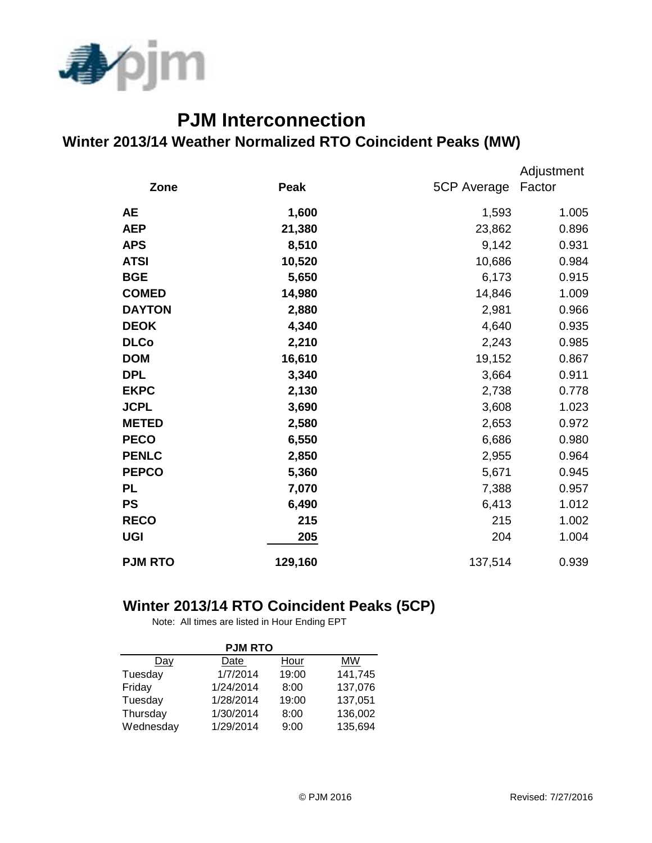

## **PJM Interconnection Winter 2013/14 Weather Normalized RTO Coincident Peaks (MW)**

|                |         |             | Adjustment |
|----------------|---------|-------------|------------|
| Zone           | Peak    | 5CP Average | Factor     |
| <b>AE</b>      | 1,600   | 1,593       | 1.005      |
| <b>AEP</b>     | 21,380  | 23,862      | 0.896      |
| <b>APS</b>     | 8,510   | 9,142       | 0.931      |
| <b>ATSI</b>    | 10,520  | 10,686      | 0.984      |
| <b>BGE</b>     | 5,650   | 6,173       | 0.915      |
| <b>COMED</b>   | 14,980  | 14,846      | 1.009      |
| <b>DAYTON</b>  | 2,880   | 2,981       | 0.966      |
| <b>DEOK</b>    | 4,340   | 4,640       | 0.935      |
| <b>DLCo</b>    | 2,210   | 2,243       | 0.985      |
| <b>DOM</b>     | 16,610  | 19,152      | 0.867      |
| <b>DPL</b>     | 3,340   | 3,664       | 0.911      |
| <b>EKPC</b>    | 2,130   | 2,738       | 0.778      |
| <b>JCPL</b>    | 3,690   | 3,608       | 1.023      |
| <b>METED</b>   | 2,580   | 2,653       | 0.972      |
| <b>PECO</b>    | 6,550   | 6,686       | 0.980      |
| <b>PENLC</b>   | 2,850   | 2,955       | 0.964      |
| <b>PEPCO</b>   | 5,360   | 5,671       | 0.945      |
| <b>PL</b>      | 7,070   | 7,388       | 0.957      |
| <b>PS</b>      | 6,490   | 6,413       | 1.012      |
| <b>RECO</b>    | 215     | 215         | 1.002      |
| <b>UGI</b>     | 205     | 204         | 1.004      |
| <b>PJM RTO</b> | 129,160 | 137,514     | 0.939      |

## **Winter 2013/14 RTO Coincident Peaks (5CP)**

Note: All times are listed in Hour Ending EPT

| <b>PJM RTO</b> |           |       |         |  |  |  |  |
|----------------|-----------|-------|---------|--|--|--|--|
| Day            | Date      | Hour  | MW      |  |  |  |  |
| Tuesday        | 1/7/2014  | 19:00 | 141,745 |  |  |  |  |
| Friday         | 1/24/2014 | 8:00  | 137,076 |  |  |  |  |
| Tuesday        | 1/28/2014 | 19:00 | 137,051 |  |  |  |  |
| Thursday       | 1/30/2014 | 8:00  | 136,002 |  |  |  |  |
| Wednesday      | 1/29/2014 | 9:00  | 135,694 |  |  |  |  |